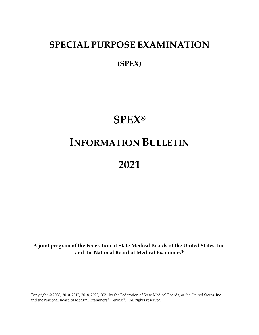# **SPECIAL PURPOSE EXAMINATION**

**(SPEX)**

# **SPEX®**

# **INFORMATION BULLETIN**

# **2021**

**A joint program of the Federation of State Medical Boards of the United States, Inc. and the National Board of Medical Examiners**

Copyright © 2008, 2010, 2017, 2018, 2020, 2021 by the Federation of State Medical Boards, of the United States, Inc., and the National Board of Medical Examiners® (NBME®). All rights reserved.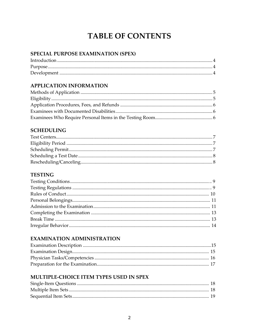## **TABLE OF CONTENTS**

### SPECIAL PURPOSE EXAMINATION (SPEX)

### **APPLICATION INFORMATION**

### **SCHEDULING**

### **TESTING**

### **EXAMINATION ADMINISTRATION**

### MULTIPLE-CHOICE ITEM TYPES USED IN SPEX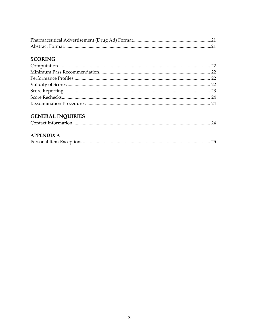### **SCORING**

### **GENERAL INQUIRIES**

| <b>APPENDIX A</b> |  |
|-------------------|--|
|                   |  |
|                   |  |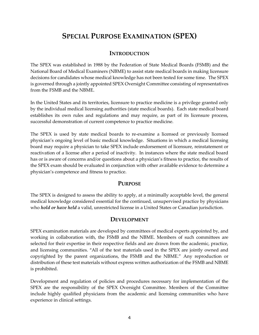### **SPECIAL PURPOSE EXAMINATION (SPEX)**

### **INTRODUCTION**

The SPEX was established in 1988 by the Federation of State Medical Boards (FSMB) and the National Board of Medical Examiners (NBME) to assist state medical boards in making licensure decisions for candidates whose medical knowledge has not been tested for some time. The SPEX is governed through a jointly appointed SPEX Oversight Committee consisting of representatives from the FSMB and the NBME.

In the United States and its territories, licensure to practice medicine is a privilege granted only by the individual medical licensing authorities (state medical boards). Each state medical board establishes its own rules and regulations and may require, as part of its licensure process, successful demonstration of current competence to practice medicine.

The SPEX is used by state medical boards to re-examine a licensed or previously licensed physician's ongoing level of basic medical knowledge. Situations in which a medical licensing board may require a physician to take SPEX include endorsement of licensure, reinstatement or reactivation of a license after a period of inactivity. In instances where the state medical board has or is aware of concerns and/or questions about a physician's fitness to practice, the results of the SPEX exam should be evaluated in conjunction with other available evidence to determine a physician's competence and fitness to practice.

### **PURPOSE**

The SPEX is designed to assess the ability to apply, at a minimally acceptable level, the general medical knowledge considered essential for the continued, unsupervised practice by physicians who *hold or have held* a valid, unrestricted license in a United States or Canadian jurisdiction.

### **DEVELOPMENT**

SPEX examination materials are developed by committees of medical experts appointed by, and working in collaboration with, the FSMB and the NBME. Members of such committees are selected for their expertise in their respective fields and are drawn from the academic, practice, and licensing communities. "All of the test materials used in the SPEX are jointly owned and copyrighted by the parent organizations, the FSMB and the NBME." Any reproduction or distribution of these test materials without express written authorization of the FSMB and NBME is prohibited.

Development and regulation of policies and procedures necessary for implementation of the SPEX are the responsibility of the SPEX Oversight Committee. Members of the Committee include highly qualified physicians from the academic and licensing communities who have experience in clinical settings.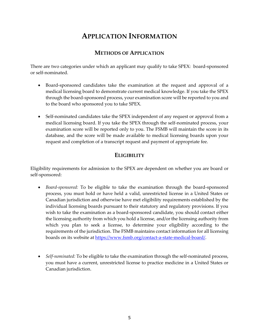### **APPLICATION INFORMATION**

### **METHODS OF APPLICATION**

There are two categories under which an applicant may qualify to take SPEX: board-sponsored or self-nominated.

- Board-sponsored candidates take the examination at the request and approval of a medical licensing board to demonstrate current medical knowledge. If you take the SPEX through the board-sponsored process, your examination score will be reported to you and to the board who sponsored you to take SPEX.
- Self-nominated candidates take the SPEX independent of any request or approval from a medical licensing board. If you take the SPEX through the self-nominated process, your examination score will be reported only to you. The FSMB will maintain the score in its database, and the score will be made available to medical licensing boards upon your request and completion of a transcript request and payment of appropriate fee.

### **ELIGIBILITY**

Eligibility requirements for admission to the SPEX are dependent on whether you are board or self-sponsored:

- *Board-sponsored:* To be eligible to take the examination through the board-sponsored process, you must hold or have held a valid, unrestricted license in a United States or Canadian jurisdiction and otherwise have met eligibility requirements established by the individual licensing boards pursuant to their statutory and regulatory provisions. If you wish to take the examination as a board-sponsored candidate, you should contact either the licensing authority from which you hold a license, and/or the licensing authority from which you plan to seek a license, to determine your eligibility according to the requirements of the jurisdiction. The FSMB maintains contact information for all licensing boards on its website at [https://www.fsmb.org/contact-a-state-medical-board/.](https://www.fsmb.org/contact-a-state-medical-board/)
- *Self-nominated:* To be eligible to take the examination through the self-nominated process, you must have a current, unrestricted license to practice medicine in a United States or Canadian jurisdiction.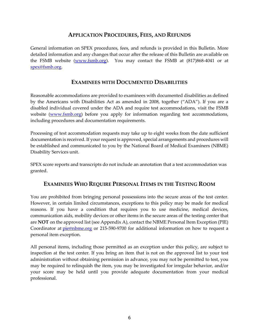### **APPLICATION PROCEDURES, FEES, AND REFUNDS**

General information on SPEX procedures, fees, and refunds is provided in this Bulletin. More detailed information and any changes that occur after the release of this Bulletin are available on the FSMB website [\(www.fsmb.org\)](http://www.fsmb.org/). You may contact the FSMB at (817)868-4041 or at [spex@fsmb.org.](mailto:spex@fsmb.org)

### **EXAMINEES WITH DOCUMENTED DISABILITIES**

Reasonable accommodations are provided to examinees with documented disabilities as defined by the Americans with Disabilities Act as amended in 2008, together ("ADA"). If you are a disabled individual covered under the ADA and require test accommodations, visit the FSMB website [\(www.fsmb.org\)](http://www.fsmb.org/) before you apply for information regarding test accommodations, including procedures and documentation requirements.

Processing of test accommodation requests may take up to eight weeks from the date sufficient documentation is received. If your request is approved, special arrangements and procedures will be established and communicated to you by the National Board of Medical Examiners (NBME) Disability Services unit.

SPEX score reports and transcripts do not include an annotation that a test accommodation was granted.

### **EXAMINEES WHO REQUIRE PERSONAL ITEMS IN THE TESTING ROOM**

You are prohibited from bringing personal possessions into the secure areas of the test center. However, in certain limited circumstances, exceptions to this policy may be made for medical reasons. If you have a condition that requires you to use medicine, medical devices, communication aids, mobility devices or other items in the secure areas of the testing center that are **NOT** on the approved list (see Appendix A), contact the NBME Personal Item Exception (PIE) Coordinator at **[pie@nbme.org](mailto:pie@nbme.org)** or 215-590-9700 for additional information on how to request a personal item exception.

All personal items, including those permitted as an exception under this policy, are subject to inspection at the test center. If you bring an item that is not on the approved list to your test administration without obtaining permission in advance, you may not be permitted to test, you may be required to relinquish the item, you may be investigated for irregular behavior, and/or your score may be held until you provide adequate documentation from your medical professional.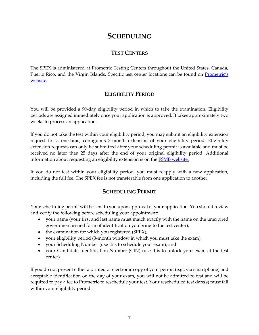### **SCHEDULING**

### **TEST CENTERS**

The SPEX is administered at Prometric Testing Centers throughout the United States, Canada, Puerto Rico, and the Virgin Islands. Specific test center locations can be found on Prometric's [website.](https://www.prometric.com/en-us/clients/spex/Pages/landing.aspx)

### **ELIGIBILITY PERIOD**

You will be provided a 90-day eligibility period in which to take the examination. Eligibility periods are assigned immediately once your application is approved. It takes approximately two weeks to process an application.

If you do not take the test within your eligibility period, you may submit an eligibility extension request for a one-time, contiguous 3-month extension of your eligibility period. Eligibility extension requests can only be submitted after your scheduling permit is available and must be received no later than 25 days after the end of your original eligibility period. Additional information about requesting an eligibility extension is on th[e FSMB website.](https://www.fsmb.org/spex-plas/)

If you do not test within your eligibility period, you must reapply with a new application, including the full fee. The SPEX fee is not transferable from one application to another.

### **SCHEDULING PERMIT**

Your scheduling permit will be sent to you upon approval of your application. You should review and verify the following before scheduling your appointment:

- your name (your first and last name must match exactly with the name on the unexpired government issued form of identification you bring to the test center);
- the examination for which you registered (SPEX);
- your eligibility period (3-month window in which you must take the exam);
- your Scheduling Number (use this to schedule your exam); and
- your Candidate Identification Number (CIN) (use this to unlock your exam at the test center)

If you do not present either a printed or electronic copy of your permit (e.g., via smartphone) and acceptable identification on the day of your exam, you will not be admitted to test and will be required to pay a fee to Prometric to reschedule your test. Your rescheduled test date(s) must fall within your eligibility period.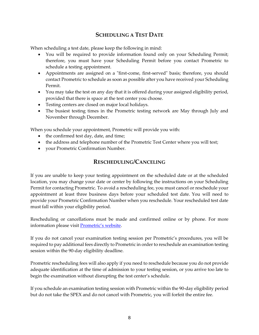### **SCHEDULING A TEST DATE**

When scheduling a test date, please keep the following in mind:

- You will be required to provide information found only on your Scheduling Permit; therefore, you must have your Scheduling Permit before you contact Prometric to schedule a testing appointment.
- Appointments are assigned on a "first-come, first-served" basis; therefore, you should contact Prometric to schedule as soon as possible after you have received your Scheduling Permit.
- You may take the test on any day that it is offered during your assigned eligibility period, provided that there is space at the test center you choose.
- Testing centers are closed on major local holidays.
- The busiest testing times in the Prometric testing network are May through July and November through December.

When you schedule your appointment, Prometric will provide you with:

- the confirmed test day, date, and time;
- the address and telephone number of the Prometric Test Center where you will test;
- your Prometric Confirmation Number.

### **RESCHEDULING/CANCELING**

If you are unable to keep your testing appointment on the scheduled date or at the scheduled location, you may change your date or center by following the instructions on your Scheduling Permit for contacting Prometric. To avoid a rescheduling fee, you must cancel or reschedule your appointment at least three business days before your scheduled test date. You will need to provide your Prometric Confirmation Number when you reschedule. Your rescheduled test date must fall within your eligibility period.

Rescheduling or cancellations must be made and confirmed online or by phone. For more information please visit P[rometric's website](https://www.prometric.com/test-takers/search/spex).

If you do not cancel your examination testing session per Prometric's procedures, you will be required to pay additional fees directly to Prometric in order to reschedule an examination testing session within the 90-day eligibility deadline.

Prometric rescheduling fees will also apply if you need to reschedule because you do not provide adequate identification at the time of admission to your testing session, or you arrive too late to begin the examination without disrupting the test center's schedule.

If you schedule an examination testing session with Prometric within the 90-day eligibility period but do not take the SPEX and do not cancel with Prometric, you will forfeit the entire fee.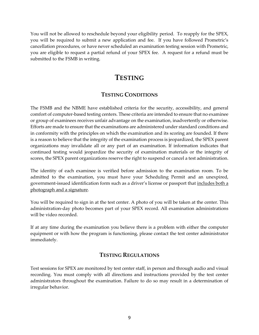You will not be allowed to reschedule beyond your eligibility period. To reapply for the SPEX, you will be required to submit a new application and fee. If you have followed Prometric's cancellation procedures, or have never scheduled an examination testing session with Prometric, you are eligible to request a partial refund of your SPEX fee. A request for a refund must be submitted to the FSMB in writing.

### **TESTING**

### **TESTING CONDITIONS**

The FSMB and the NBME have established criteria for the security, accessibility, and general comfort of computer-based testing centers. These criteria are intended to ensure that no examinee or group of examinees receives unfair advantage on the examination, inadvertently or otherwise. Efforts are made to ensure that the examinations are administered under standard conditions and in conformity with the principles on which the examination and its scoring are founded. If there is a reason to believe that the integrity of the examination process is jeopardized, the SPEX parent organizations may invalidate all or any part of an examination. If information indicates that continued testing would jeopardize the security of examination materials or the integrity of scores, the SPEX parent organizations reserve the right to suspend or cancel a test administration.

The identity of each examinee is verified before admission to the examination room. To be admitted to the examination, you must have your Scheduling Permit and an unexpired, government-issued identification form such as a driver's license or passport that includes both a photograph and a signature.

You will be required to sign in at the test center. A photo of you will be taken at the center. This administration-day photo becomes part of your SPEX record. All examination administrations will be video recorded.

If at any time during the examination you believe there is a problem with either the computer equipment or with how the program is functioning, please contact the test center administrator immediately.

### **TESTING REGULATIONS**

Test sessions for SPEX are monitored by test center staff, in person and through audio and visual recording. You must comply with all directions and instructions provided by the test center administrators throughout the examination. Failure to do so may result in a determination of irregular behavior.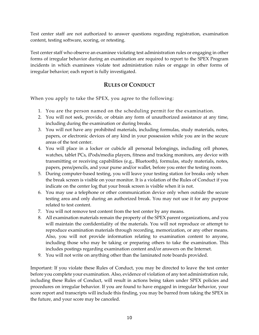Test center staff are not authorized to answer questions regarding registration, examination content, testing software, scoring, or retesting.

Test center staff who observe an examinee violating test administration rules or engaging in other forms of irregular behavior during an examination are required to report to the SPEX Program incidents in which examinees violate test administration rules or engage in other forms of irregular behavior; each report is fully investigated.

### **RULES OF CONDUCT**

When you apply to take the SPEX, you agree to the following:

- 1. You are the person named on the scheduling permit for the examination.
- 2. You will not seek, provide, or obtain any form of unauthorized assistance at any time, including during the examination or during breaks.
- 3. You will not have any prohibited materials, including formulas, study materials, notes, papers, or electronic devices of any kind in your possession while you are in the secure areas of the test center.
- 4. You will place in a locker or cubicle all personal belongings, including cell phones, watches, tablet PCs, iPods/media players, fitness and tracking monitors, any device with transmitting or receiving capabilities (e.g., Bluetooth), formulas, study materials, notes, papers, pens/pencils, and your purse and/or wallet, before you enter the testing room.
- 5. During computer-based testing, you will leave your testing station for breaks only when the break screen is visible on your monitor. It is a violation of the Rules of Conduct if you indicate on the center log that your break screen is visible when it is not.
- 6. You may use a telephone or other communication device only when outside the secure testing area and only during an authorized break. You may not use it for any purpose related to test content.
- 7. You will not remove test content from the test center by any means.
- 8. All examination materials remain the property of the SPEX parent organizations, and you will maintain the confidentiality of the materials. You will not reproduce or attempt to reproduce examination materials through recording, memorization, or any other means. Also, you will not provide information relating to examination content to anyone, including those who may be taking or preparing others to take the examination. This includes postings regarding examination content and/or answers on the Internet.
- 9. You will not write on anything other than the laminated note boards provided.

Important: If you violate these Rules of Conduct, you may be directed to leave the test center before you complete your examination. Also, evidence of violation of any test administration rule, including these Rules of Conduct, will result in actions being taken under SPEX policies and procedures on irregular behavior. If you are found to have engaged in irregular behavior, your score report and transcripts will include this finding, you may be barred from taking the SPEX in the future, and your score may be canceled.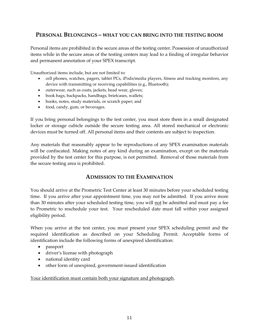### **PERSONAL BELONGINGS – WHAT YOU CAN BRING INTO THE TESTING ROOM**

Personal items are prohibited in the secure areas of the testing center. Possession of unauthorized items while in the secure areas of the testing centers may lead to a finding of irregular behavior and permanent annotation of your SPEX transcript.

Unauthorized items include, but are not limited to:

- cell phones, watches, pagers, tablet PCs, iPods/media players, fitness and tracking monitors, any device with transmitting or receiving capabilities (e.g., Bluetooth);
- outerwear, such as coats, jackets, head wear, gloves;
- book bags, backpacks, handbags, briefcases, wallets;
- books, notes, study materials, or scratch paper; and
- food, candy, gum, or beverages.

If you bring personal belongings to the test center, you must store them in a small designated locker or storage cubicle outside the secure testing area. All stored mechanical or electronic devices must be turned off. All personal items and their contents are subject to inspection.

Any materials that reasonably appear to be reproductions of any SPEX examination materials will be confiscated. Making notes of any kind during an examination, except on the materials provided by the test center for this purpose, is not permitted. Removal of those materials from the secure testing area is prohibited.

### **ADMISSION TO THE EXAMINATION**

You should arrive at the Prometric Test Center at least 30 minutes before your scheduled testing time. If you arrive after your appointment time, you may not be admitted. If you arrive more than 30 minutes after your scheduled testing time, you will not be admitted and must pay a fee to Prometric to reschedule your test. Your rescheduled date must fall within your assigned eligibility period.

When you arrive at the test center, you must present your SPEX scheduling permit and the required identification as described on your Scheduling Permit. Acceptable forms of identification include the following forms of unexpired identification:

- passport
- driver's license with photograph
- national identity card
- other form of unexpired, government-issued identification

Your identification must contain both your signature and photograph.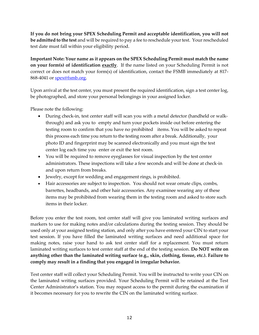**If you do not bring your SPEX Scheduling Permit and acceptable identification, you will not be admitted to the test** and will be required to pay a fee to reschedule your test. Your rescheduled test date must fall within your eligibility period.

**Important Note: Your name as it appears on the SPEX Scheduling Permit must match the name on your form(s) of identification exactly**. If the name listed on your Scheduling Permit is not correct or does not match your form(s) of identification, contact the FSMB immediately at 817 868-4041 or [spex@fsmb.org.](mailto:spex@fsmb.org)

Upon arrival at the test center, you must present the required identification, sign a test center log, be photographed, and store your personal belongings in your assigned locker.

Please note the following:

- During check-in, test center staff will scan you with a metal detector (handheld or walkthrough) and ask you to empty and turn your pockets inside out before entering the testing room to confirm that you have no prohibited items. You will be asked to repeat this process each time you return to the testing room after a break. Additionally, your photo ID and fingerprint may be scanned electronically and you must sign the test center log each time you enter or exit the test room.
- You will be required to remove eyeglasses for visual inspection by the test center administrators. These inspections will take a few seconds and will be done at check-in and upon return from breaks.
- Jewelry, except for wedding and engagement rings, is prohibited.
- Hair accessories are subject to inspection. You should not wear ornate clips, combs, barrettes, headbands, and other hair accessories. Any examinee wearing any of these items may be prohibited from wearing them in the testing room and asked to store such items in their locker.

Before you enter the test room, test center staff will give you laminated writing surfaces and markers to use for making notes and/or calculations during the testing session. They should be used only at your assigned testing station, and only after you have entered your CIN to start your test session. If you have filled the laminated writing surfaces and need additional space for making notes, raise your hand to ask test center staff for a replacement. You must return laminated writing surfaces to test center staff at the end of the testing session. **Do NOT write on anything other than the laminated writing surface (e.g., skin, clothing, tissue, etc.). Failure to comply may result in a finding that you engaged in irregular behavior.**

Test center staff will collect your Scheduling Permit. You will be instructed to write your CIN on the laminated writing surfaces provided. Your Scheduling Permit will be retained at the Test Center Administrator's station. You may request access to the permit during the examination if it becomes necessary for you to rewrite the CIN on the laminated writing surface.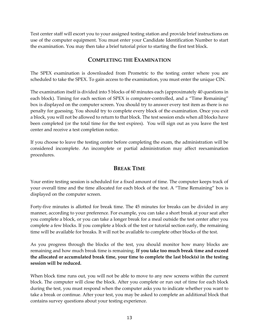Test center staff will escort you to your assigned testing station and provide brief instructions on use of the computer equipment. You must enter your Candidate Identification Number to start the examination. You may then take a brief tutorial prior to starting the first test block.

### **COMPLETING THE EXAMINATION**

The SPEX examination is downloaded from Prometric to the testing center where you are scheduled to take the SPEX. To gain access to the examination, you must enter the unique CIN.

The examination itself is divided into 5 blocks of 60 minutes each (approximately 40 questions in each block). Timing for each section of SPEX is computer-controlled, and a "Time Remaining" box is displayed on the computer screen. You should try to answer every test item as there is no penalty for guessing. You should try to complete every block of the examination. Once you exit a block, you will not be allowed to return to that block. The test session ends when all blocks have been completed (or the total time for the test expires). You will sign out as you leave the test center and receive a test completion notice.

If you choose to leave the testing center before completing the exam, the administration will be considered incomplete. An incomplete or partial administration may affect reexamination procedures.

### **BREAK TIME**

Your entire testing session is scheduled for a fixed amount of time. The computer keeps track of your overall time and the time allocated for each block of the test. A "Time Remaining" box is displayed on the computer screen.

Forty-five minutes is allotted for break time. The 45 minutes for breaks can be divided in any manner, according to your preference. For example, you can take a short break at your seat after you complete a block, or you can take a longer break for a meal outside the test center after you complete a few blocks. If you complete a block of the test or tutorial section early, the remaining time will be available for breaks. It will not be available to complete other blocks of the test.

As you progress through the blocks of the test, you should monitor how many blocks are remaining and how much break time is remaining. **If you take too much break time and exceed the allocated or accumulated break time, your time to complete the last block(s) in the testing session will be reduced.**

When block time runs out, you will not be able to move to any new screens within the current block. The computer will close the block. After you complete or run out of time for each block during the test, you must respond when the computer asks you to indicate whether you want to take a break or continue. After your test, you may be asked to complete an additional block that contains survey questions about your testing experience.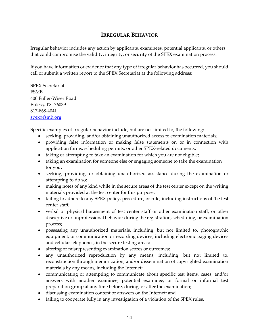### **IRREGULAR BEHAVIOR**

Irregular behavior includes any action by applicants, examinees, potential applicants, or others that could compromise the validity, integrity, or security of the SPEX examination process.

If you have information or evidence that any type of irregular behavior has occurred, you should call or submit a written report to the SPEX Secretariat at the following address:

SPEX Secretariat FSMB 400 Fuller-Wiser Road Euless, TX 76039 817-868-4041 [spex@fsmb.org](mailto:spex@fsmb.org)

Specific examples of irregular behavior include, but are not limited to, the following:

- seeking, providing, and/or obtaining unauthorized access to examination materials;
- providing false information or making false statements on or in connection with application forms, scheduling permits, or other SPEX-related documents;
- taking or attempting to take an examination for which you are not eligible;
- taking an examination for someone else or engaging someone to take the examination for you;
- seeking, providing, or obtaining unauthorized assistance during the examination or attempting to do so;
- making notes of any kind while in the secure areas of the test center except on the writing materials provided at the test center for this purpose;
- failing to adhere to any SPEX policy, procedure, or rule, including instructions of the test center staff;
- verbal or physical harassment of test center staff or other examination staff, or other disruptive or unprofessional behavior during the registration, scheduling, or examination process;
- possessing any unauthorized materials, including, but not limited to, photographic equipment, or communication or recording devices, including electronic paging devices and cellular telephones, in the secure testing areas;
- altering or misrepresenting examination scores or outcomes;
- any unauthorized reproduction by any means, including, but not limited to, reconstruction through memorization, and/or dissemination of copyrighted examination materials by any means, including the Internet;
- communicating or attempting to communicate about specific test items, cases, and/or answers with another examinee, potential examinee, or formal or informal test preparation group at any time before, during, or after the examination;
- discussing examination content or answers on the Internet; and
- failing to cooperate fully in any investigation of a violation of the SPEX rules.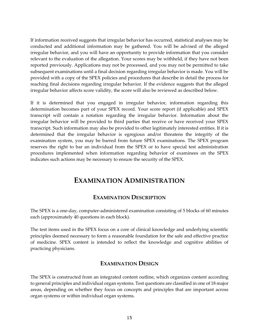If information received suggests that irregular behavior has occurred, statistical analyses may be conducted and additional information may be gathered. You will be advised of the alleged irregular behavior, and you will have an opportunity to provide information that you consider relevant to the evaluation of the allegation. Your scores may be withheld, if they have not been reported previously. Applications may not be processed, and you may not be permitted to take subsequent examinations until a final decision regarding irregular behavior is made. You will be provided with a copy of the SPEX policies and procedures that describe in detail the process for reaching final decisions regarding irregular behavior. If the evidence suggests that the alleged irregular behavior affects score validity, the score will also be reviewed as described below.

If it is determined that you engaged in irregular behavior, information regarding this determination becomes part of your SPEX record. Your score report (if applicable) and SPEX transcript will contain a notation regarding the irregular behavior. Information about the irregular behavior will be provided to third parties that receive or have received your SPEX transcript. Such information may also be provided to other legitimately interested entities. If it is determined that the irregular behavior is egregious and/or threatens the integrity of the examination system, you may be barred from future SPEX examinations. The SPEX program reserves the right to bar an individual from the SPEX or to have special test administration procedures implemented when information regarding behavior of examinees on the SPEX indicates such actions may be necessary to ensure the security of the SPEX.

### **EXAMINATION ADMINISTRATION**

### **EXAMINATION DESCRIPTION**

The SPEX is a one-day, computer-administered examination consisting of 5 blocks of 60 minutes each (approximately 40 questions in each block).

The test items used in the SPEX focus on a core of clinical knowledge and underlying scientific principles deemed necessary to form a reasonable foundation for the safe and effective practice of medicine. SPEX content is intended to reflect the knowledge and cognitive abilities of practicing physicians.

### **EXAMINATION DESIGN**

The SPEX is constructed from an [integrated content outline,](http://www.usmle.org/pdfs/usmlecontentoutline.pdf) which organizes content according to general principles and individual organ systems. Test questions are classified in one of 18 major areas, depending on whether they focus on concepts and principles that are important across organ systems or within individual organ systems.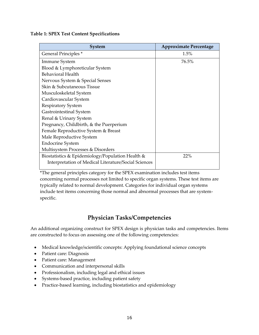#### **Table 1: SPEX Test Content Specifications**

| <b>System</b>                                        | <b>Approximate Percentage</b> |
|------------------------------------------------------|-------------------------------|
| General Principles <sup>*</sup>                      | 1.5%                          |
| Immune System                                        | 76.5%                         |
| Blood & Lymphoreticular System                       |                               |
| <b>Behavioral Health</b>                             |                               |
| Nervous System & Special Senses                      |                               |
| Skin & Subcutaneous Tissue                           |                               |
| Musculoskeletal System                               |                               |
| Cardiovascular System                                |                               |
| <b>Respiratory System</b>                            |                               |
| Gastrointestinal System                              |                               |
| Renal & Urinary System                               |                               |
| Pregnancy, Childbirth, & the Puerperium              |                               |
| Female Reproductive System & Breast                  |                               |
| Male Reproductive System                             |                               |
| <b>Endocrine System</b>                              |                               |
| Multisystem Processes & Disorders                    |                               |
| Biostatistics & Epidemiology/Population Health &     | 22%                           |
| Interpretation of Medical Literature/Social Sciences |                               |
|                                                      |                               |

\*The general principles category for the SPEX examination includes test items concerning normal processes not limited to specific organ systems. These test items are typically related to normal development. Categories for individual organ systems include test items concerning those normal and abnormal processes that are systemspecific.

### **Physician Tasks/Competencies**

An additional organizing construct for SPEX design is physician tasks and competencies. Items are constructed to focus on assessing one of the following competencies:

- Medical knowledge/scientific concepts: Applying foundational science concepts
- Patient care: Diagnosis
- Patient care: Management
- Communication and interpersonal skills
- Professionalism, including legal and ethical issues
- Systems-based practice, including patient safety
- Practice-based learning, including biostatistics and epidemiology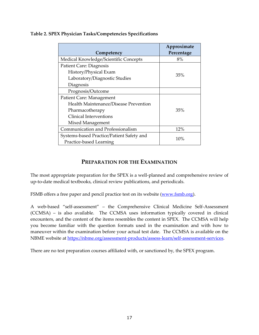| Competency                                                           | Approximate<br>Percentage |
|----------------------------------------------------------------------|---------------------------|
| Medical Knowledge/Scientific Concepts                                | 8%                        |
| Patient Care: Diagnosis                                              |                           |
| History/Physical Exam                                                |                           |
| Laboratory/Diagnostic Studies                                        | 35%                       |
| Diagnosis                                                            |                           |
| Prognosis/Outcome                                                    |                           |
| Patient Care: Management                                             |                           |
| Health Maintenance/Disease Prevention                                |                           |
| Pharmacotherapy                                                      | 35%                       |
| <b>Clinical Interventions</b>                                        |                           |
| Mixed Management                                                     |                           |
| Communication and Professionalism                                    | 12%                       |
| Systems-based Practice/Patient Safety and<br>Practice-based Learning | 10%                       |

#### **Table 2. SPEX Physician Tasks/Competencies Specifications**

### **PREPARATION FOR THE EXAMINATION**

The most appropriate preparation for the SPEX is a well-planned and comprehensive review of up-to-date medical textbooks, clinical review publications, and periodicals.

FSMB offers a free paper and pencil practice test on its website [\(www.fsmb.org\)](http://www.fsmb.org/).

A web-based "self-assessment" – the Comprehensive Clinical Medicine Self-Assessment (CCMSA) – is also available. The CCMSA uses information typically covered in clinical encounters, and the content of the items resembles the content in SPEX. The CCMSA will help you become familiar with the question formats used in the examination and with how to maneuver within the examination before your actual test date. The CCMSA is available on the NBME website at [https://nbme.org/assessment-products/assess-learn/self-assessment-services.](https://nbme.org/assessment-products/assess-learn/self-assessment-services)

There are no test preparation courses affiliated with, or sanctioned by, the SPEX program.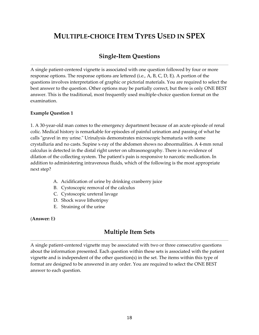## **MULTIPLE-CHOICE ITEM TYPES USED IN SPEX**

### **Single-Item Questions**

A single patient-centered vignette is associated with one question followed by four or more response options. The response options are lettered (i.e., A, B, C, D, E). A portion of the questions involves interpretation of graphic or pictorial materials. You are required to select the best answer to the question. Other options may be partially correct, but there is only ONE BEST answer. This is the traditional, most frequently used multiple-choice question format on the examination.

#### **Example Question 1**

1. A 30-year-old man comes to the emergency department because of an acute episode of renal colic. Medical history is remarkable for episodes of painful urination and passing of what he calls "gravel in my urine." Urinalysis demonstrates microscopic hematuria with some crystalluria and no casts. Supine x-ray of the abdomen shows no abnormalities. A 4-mm renal calculus is detected in the distal right ureter on ultrasonography. There is no evidence of dilation of the collecting system. The patient's pain is responsive to narcotic medication. In addition to administering intravenous fluids, which of the following is the most appropriate next step?

- A. Acidification of urine by drinking cranberry juice
- B. Cystoscopic removal of the calculus
- C. Cystoscopic ureteral lavage
- D. Shock wave lithotripsy
- E. Straining of the urine

(**Answer:** E**)**

### **Multiple Item Sets**

A single patient-centered vignette may be associated with two or three consecutive questions about the information presented. Each question within these sets is associated with the patient vignette and is independent of the other question(s) in the set. The items within this type of format are designed to be answered in any order. You are required to select the ONE BEST answer to each question.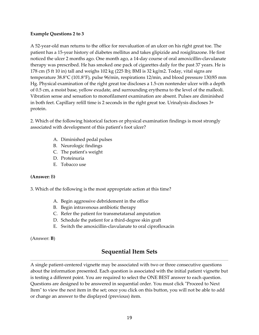#### **Example Questions 2 to 3**

A 52-year-old man returns to the office for reevaluation of an ulcer on his right great toe. The patient has a 15-year history of diabetes mellitus and takes glipizide and rosiglitazone. He first noticed the ulcer 2 months ago. One month ago, a 14-day course of oral amoxicillin-clavulanate therapy was prescribed. He has smoked one pack of cigarettes daily for the past 37 years. He is 178 cm (5 ft 10 in) tall and weighs 102 kg (225 lb); BMI is 32 kg/m2. Today, vital signs are temperature 38.8°C (101.8°F), pulse 96/min, respirations 12/min, and blood pressure 130/85 mm Hg. Physical examination of the right great toe discloses a 1.5-cm nontender ulcer with a depth of 0.5 cm, a moist base, yellow exudate, and surrounding erythema to the level of the malleoli. Vibration sense and sensation to monofilament examination are absent. Pulses are diminished in both feet. Capillary refill time is 2 seconds in the right great toe. Urinalysis discloses 3+ protein.

2. Which of the following historical factors or physical examination findings is most strongly associated with development of this patient's foot ulcer?

- A. Diminished pedal pulses
- B. Neurologic findings
- C. The patient's weight
- D. Proteinuria
- E. Tobacco use

#### **(Answer:** B**)**

3. Which of the following is the most appropriate action at this time?

- A. Begin aggressive debridement in the office
- B. Begin intravenous antibiotic therapy
- C. Refer the patient for transmetatarsal amputation
- D. Schedule the patient for a third-degree skin graft
- E. Switch the amoxicillin-clavulanate to oral ciprofloxacin

(Answer: **B**)

### **Sequential Item Sets**

A single patient-centered vignette may be associated with two or three consecutive questions about the information presented. Each question is associated with the initial patient vignette but is testing a different point. You are required to select the ONE BEST answer to each question. Questions are designed to be answered in sequential order. You must click "Proceed to Next Item" to view the next item in the set; once you click on this button, you will not be able to add or change an answer to the displayed (previous) item.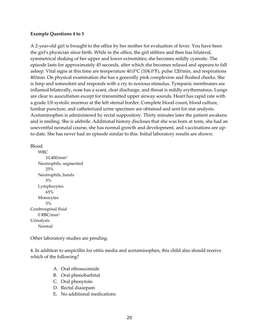#### **Example Questions 4 to 5**

A 2-year-old girl is brought to the office by her mother for evaluation of fever. You have been the girl's physician since birth. While in the office, the girl stiffens and then has bilateral, symmetrical shaking of her upper and lower extremities; she becomes mildly cyanotic. The episode lasts for approximately 45 seconds, after which she becomes relaxed and appears to fall asleep. Vital signs at this time are temperature 40.0°C (104.0°F), pulse 120/min, and respirations 40/min. On physical examination she has a generally pink complexion and flushed cheeks. She is limp and somnolent and responds with a cry to noxious stimulus. Tympanic membranes are inflamed bilaterally, nose has a scant, clear discharge, and throat is mildly erythematous. Lungs are clear to auscultation except for transmitted upper airway sounds. Heart has rapid rate with a grade 1/6 systolic murmur at the left sternal border. Complete blood count, blood culture, lumbar puncture, and catheterized urine specimen are obtained and sent for stat analysis. Acetaminophen is administered by rectal suppository. Thirty minutes later the patient awakens and is smiling. She is afebrile. Additional history discloses that she was born at term, she had an uneventful neonatal course, she has normal growth and development, and vaccinations are upto-date. She has never had an episode similar to this. Initial laboratory results are shown:

Blood

WBC 10,400/mm<sup>3</sup> Neutrophils, segmented 25% Neutrophils, bands 5% Lymphocytes 65% Monocytes 5% Cerebrospinal fluid 0 RBC/mm<sup>3</sup> Urinalysis Normal

Other laboratory studies are pending.

4. In addition to ampicillin for otitis media and acetaminophen, this child also should receive which of the following?

- A. Oral ethosuximide
- B. Oral phenobarbital
- C. Oral phenytoin
- D. Rectal diazepam
- E. No additional medications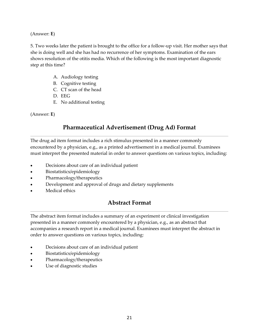(Answer: **E**)

5. Two weeks later the patient is brought to the office for a follow-up visit. Her mother says that she is doing well and she has had no recurrence of her symptoms. Examination of the ears shows resolution of the otitis media. Which of the following is the most important diagnostic step at this time?

- A. Audiology testing
- B. Cognitive testing
- C. CT scan of the head
- D. EEG
- E. No additional testing

(Answer: **E**)

### **Pharmaceutical Advertisement (Drug Ad) Format**

The drug ad item format includes a rich stimulus presented in a manner commonly encountered by a physician, e.g., as a printed advertisement in a medical journal. Examinees must interpret the presented material in order to answer questions on various topics, including:

- Decisions about care of an individual patient
- Biostatistics/epidemiology
- Pharmacology/therapeutics
- Development and approval of drugs and dietary supplements
- Medical ethics

### **Abstract Format**

The abstract item format includes a summary of an experiment or clinical investigation presented in a manner commonly encountered by a physician, e.g., as an abstract that accompanies a research report in a medical journal. Examinees must interpret the abstract in order to answer questions on various topics, including:

- Decisions about care of an individual patient
- Biostatistics/epidemiology
- Pharmacology/therapeutics
- Use of diagnostic studies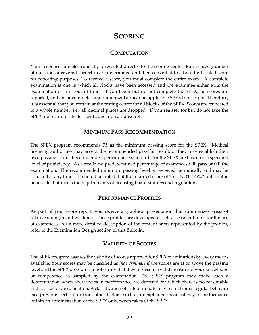### **SCORING**

### **COMPUTATION**

Your responses are electronically forwarded directly to the scoring center. Raw scores (number of questions answered correctly) are determined and then converted to a two-digit scaled score for reporting purposes. To receive a score, you must complete the entire exam. A complete examination is one in which all blocks have been accessed and the examinee either exits the examination or runs out of time. If you begin but do not complete the SPEX, no scores are reported, and an "incomplete" annotation will appear on applicable SPEX transcripts. Therefore, it is essential that you remain at the testing center for all blocks of the SPEX. Scores are truncated to a whole number, i.e., all decimal places are dropped. If you register for but do not take the SPEX, no record of the test will appear on a transcript.

#### **MINIMUM PASS RECOMMENDATION**

The SPEX program recommends 75 as the minimum passing score for the SPEX. Medical licensing authorities may accept the recommended pass/fail result, or they may establish their own passing score. Recommended performance standards for the SPEX are based on a specified level of proficiency. As a result, no predetermined percentage of examinees will pass or fail the examination. The recommended minimum passing level is reviewed periodically and may be adjusted at any time. It should be noted that the reported score of 75 is NOT "75%" but a value on a scale that meets the requirements of licensing board statutes and regulations.

#### **PERFORMANCE PROFILES**

As part of your score report, you receive a graphical presentation that summarizes areas of relative strength and weakness. These profiles are developed as self-assessment tools for the use of examinees. For a more detailed description of the content areas represented by the profiles, refer to the Examination Design section of this Bulletin.

### **VALIDITY OF SCORES**

The SPEX program assures the validity of scores reported for SPEX examinations by every means available. Your scores may be classified as *indeterminate* if the scores are at or above the passing level and the SPEX program cannot certify that they represent a valid measure of your knowledge or competence as sampled by the examination. The SPEX program may make such a determination when aberrancies in performance are detected for which there is no reasonable and satisfactory explanation. A classification of indeterminate may result from irregular behavior (see previous section) or from other factors, such as unexplained inconsistency in performance within an administration of the SPEX or between takes of the SPEX.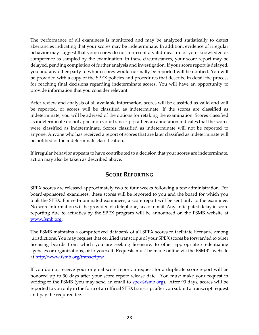The performance of all examinees is monitored and may be analyzed statistically to detect aberrancies indicating that your scores may be indeterminate. In addition, evidence of irregular behavior may suggest that your scores do not represent a valid measure of your knowledge or competence as sampled by the examination. In these circumstances, your score report may be delayed, pending completion of further analysis and investigation. If your score report is delayed, you and any other party to whom scores would normally be reported will be notified. You will be provided with a copy of the SPEX policies and procedures that describe in detail the process for reaching final decisions regarding indeterminate scores. You will have an opportunity to provide information that you consider relevant.

After review and analysis of all available information, scores will be classified as valid and will be reported, or scores will be classified as indeterminate. If the scores are classified as indeterminate, you will be advised of the options for retaking the examination. Scores classified as indeterminate do not appear on your transcript; rather, an annotation indicates that the scores were classified as indeterminate. Scores classified as indeterminate will not be reported to anyone. Anyone who has received a report of scores that are later classified as indeterminate will be notified of the indeterminate classification.

If irregular behavior appears to have contributed to a decision that your scores are indeterminate, action may also be taken as described above.

### **SCORE REPORTING**

SPEX scores are released approximately two to four weeks following a test administration. For board-sponsored examinees, these scores will be reported to you and the board for which you took the SPEX. For self-nominated examinees, a score report will be sent only to the examinee. No score information will be provided via telephone, fax, or email. Any anticipated delay in score reporting due to activities by the SPEX program will be announced on the FSMB website at [www.fsmb.org.](http://www.fsmb.org/)

The FSMB maintains a computerized databank of all SPEX scores to facilitate licensure among jurisdictions. You may request that certified transcripts of your SPEX scores be forwarded to other licensing boards from which you are seeking licensure, to other appropriate credentialing agencies or organizations, or to yourself. Requests must be made online via the FSMB's website at [http://www.fsmb.org/transcripts/.](http://www.fsmb.org/transcripts/)

If you do not receive your original score report, a request for a duplicate score report will be honored up to 90 days after your score report release date. You must make your request in writing to the FSMB (you may send an email to [spex@fsmb.org\)](mailto:spex@fsmb.org). After 90 days, scores will be reported to you only in the form of an official SPEX transcript after you submit a transcript request and pay the required fee.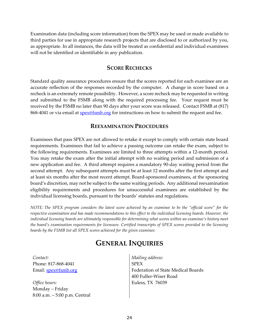Examination data (including score information) from the SPEX may be used or made available to third parties for use in appropriate research projects that are disclosed to or authorized by you, as appropriate. In all instances, the data will be treated as confidential and individual examinees will not be identified or identifiable in any publication.

#### **SCORE RECHECKS**

Standard quality assurance procedures ensure that the scores reported for each examinee are an accurate reflection of the responses recorded by the computer. A change in score based on a recheck is an extremely remote possibility. However, a score recheck may be requested in writing and submitted to the FSMB along with the required processing fee. Your request must be received by the FSMB no later than 90 days after your score was released. Contact FSMB at (817) 868-4041 or via email at [spex@fsmb.org](mailto:spex@fsmb.org) for instructions on how to submit the request and fee.

#### **REEXAMINATION PROCEDURES**

Examinees that pass SPEX are not allowed to retake it except to comply with certain state board requirements. Examinees that fail to achieve a passing outcome can retake the exam, subject to the following requirements. Examinees are limited to three attempts within a 12-month period. You may retake the exam after the initial attempt with no waiting period and submission of a new application and fee. A third attempt requires a mandatory 90-day waiting period from the second attempt. Any subsequent attempts must be at least 12 months after the first attempt and at least six months after the most recent attempt. Board-sponsored examinees, at the sponsoring board's discretion, may not be subject to the same waiting periods. Any additional reexamination eligibility requirements and procedures for unsuccessful examinees are established by the individual licensing boards, pursuant to the boards' statutes and regulations.

*NOTE: The SPEX program considers the latest score achieved by an examinee to be the "official score" for the respective examination and has made recommendations to this effect to the individual licensing boards. However, the individual licensing boards are ultimately responsible for determining what scores within an examinee's history meet the board's examination requirements for licensure. Certified transcripts of SPEX scores provided to the licensing boards by the FSMB list all SPEX scores achieved for the given examinee.*

### **GENERAL INQUIRIES**

*Contact:*  Phone: 817-868-4041 Email: [spex@fsmb.org](mailto:spex@fsmb.org)

*Office hours:* Monday – Friday 8:00 a.m. – 5:00 p.m. Central *Mailing address:*  SPEX Federation of State Medical Boards 400 Fuller-Wiser Road Euless, TX 76039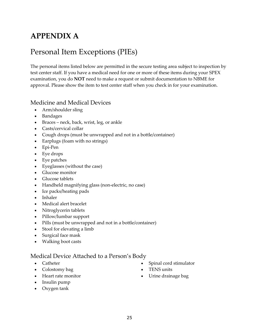## **APPENDIX A**

## Personal Item Exceptions (PIEs)

The personal items listed below are permitted in the secure testing area subject to inspection by test center staff. If you have a medical need for one or more of these items during your SPEX examination, you do **NOT** need to make a request or submit documentation to NBME for approval. Please show the item to test center staff when you check in for your examination.

### Medicine and Medical Devices

- Arm/shoulder sling
- Bandages
- Braces neck, back, wrist, leg, or ankle
- Casts/cervical collar
- Cough drops (must be unwrapped and not in a bottle/container)
- Earplugs (foam with no strings)
- Epi-Pen
- Eye drops
- Eye patches
- Eyeglasses (without the case)
- Glucose monitor
- Glucose tablets
- Handheld magnifying glass (non-electric, no case)
- Ice packs/heating pads
- Inhaler
- Medical alert bracelet
- Nitroglycerin tablets
- Pillow/lumbar support
- Pills (must be unwrapped and not in a bottle/container)
- Stool for elevating a limb
- Surgical face mask
- Walking boot casts

### Medical Device Attached to a Person's Body

- Catheter
- Colostomy bag
- Heart rate monitor

• TENS units • Urine drainage bag

• Spinal cord stimulator

- Insulin pump
- Oxygen tank

25